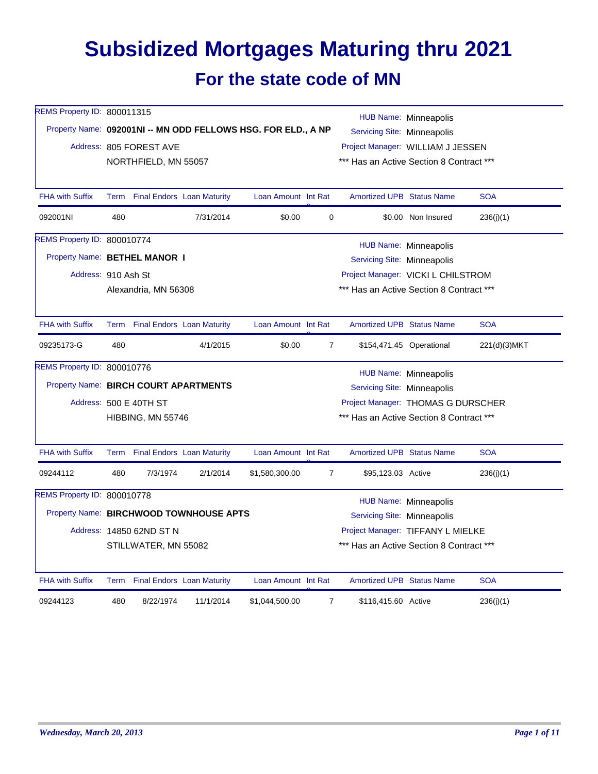## **Subsidized Mortgages Maturing thru 2021**

## **For the state code of MN**

| REMS Property ID: 800011315           |     |                                 |                                         |                                                               |                                          | <b>HUB Name: Minneapolis</b>             |                              |              |  |  |
|---------------------------------------|-----|---------------------------------|-----------------------------------------|---------------------------------------------------------------|------------------------------------------|------------------------------------------|------------------------------|--------------|--|--|
|                                       |     |                                 |                                         | Property Name: 092001NI -- MN ODD FELLOWS HSG. FOR ELD., A NP |                                          | Servicing Site: Minneapolis              |                              |              |  |  |
|                                       |     | Address: 805 FOREST AVE         |                                         |                                                               |                                          | Project Manager: WILLIAM J JESSEN        |                              |              |  |  |
|                                       |     | NORTHFIELD, MN 55057            |                                         |                                                               |                                          | *** Has an Active Section 8 Contract *** |                              |              |  |  |
| <b>FHA with Suffix</b>                |     | Term Final Endors Loan Maturity |                                         | Loan Amount Int Rat                                           |                                          | <b>Amortized UPB Status Name</b>         |                              | <b>SOA</b>   |  |  |
| 092001NI                              | 480 |                                 | 7/31/2014                               | \$0.00                                                        | 0                                        |                                          | \$0.00 Non Insured           | 236(j)(1)    |  |  |
| REMS Property ID: 800010774           |     |                                 |                                         |                                                               |                                          | HUB Name: Minneapolis                    |                              |              |  |  |
| Property Name: BETHEL MANOR I         |     |                                 |                                         |                                                               |                                          | Servicing Site: Minneapolis              |                              |              |  |  |
| Address: 910 Ash St                   |     |                                 |                                         |                                                               |                                          | Project Manager: VICKI L CHILSTROM       |                              |              |  |  |
|                                       |     | Alexandria, MN 56308            |                                         |                                                               | *** Has an Active Section 8 Contract *** |                                          |                              |              |  |  |
| <b>FHA with Suffix</b>                |     | Term Final Endors Loan Maturity |                                         | Loan Amount Int Rat                                           |                                          | <b>Amortized UPB Status Name</b>         |                              | <b>SOA</b>   |  |  |
| 09235173-G                            | 480 |                                 | 4/1/2015                                | \$0.00                                                        | $\overline{7}$                           |                                          | \$154,471.45 Operational     | 221(d)(3)MKT |  |  |
| REMS Property ID: 800010776           |     |                                 |                                         |                                                               |                                          |                                          | HUB Name: Minneapolis        |              |  |  |
| Property Name: BIRCH COURT APARTMENTS |     |                                 |                                         |                                                               |                                          | Servicing Site: Minneapolis              |                              |              |  |  |
|                                       |     | Address: 500 E 40TH ST          |                                         |                                                               |                                          | Project Manager: THOMAS G DURSCHER       |                              |              |  |  |
|                                       |     | HIBBING, MN 55746               |                                         |                                                               |                                          | *** Has an Active Section 8 Contract *** |                              |              |  |  |
| <b>FHA with Suffix</b>                |     | Term Final Endors Loan Maturity |                                         | Loan Amount Int Rat                                           |                                          | <b>Amortized UPB Status Name</b>         |                              | <b>SOA</b>   |  |  |
| 09244112                              | 480 | 7/3/1974                        | 2/1/2014                                | \$1,580,300.00                                                | $\overline{7}$                           | \$95,123.03 Active                       |                              | 236(j)(1)    |  |  |
| REMS Property ID: 800010778           |     |                                 |                                         |                                                               |                                          |                                          | <b>HUB Name: Minneapolis</b> |              |  |  |
|                                       |     |                                 | Property Name: BIRCHWOOD TOWNHOUSE APTS |                                                               |                                          | Servicing Site: Minneapolis              |                              |              |  |  |
|                                       |     | Address: 14850 62ND ST N        |                                         |                                                               |                                          | Project Manager: TIFFANY L MIELKE        |                              |              |  |  |
|                                       |     | STILLWATER, MN 55082            |                                         |                                                               |                                          | *** Has an Active Section 8 Contract *** |                              |              |  |  |
| <b>FHA with Suffix</b>                |     | Term Final Endors Loan Maturity |                                         | Loan Amount Int Rat                                           |                                          | <b>Amortized UPB Status Name</b>         |                              | <b>SOA</b>   |  |  |
| 09244123                              | 480 | 8/22/1974                       | 11/1/2014                               | \$1,044,500.00                                                | $\overline{7}$                           | \$116,415.60 Active                      |                              | 236(j)(1)    |  |  |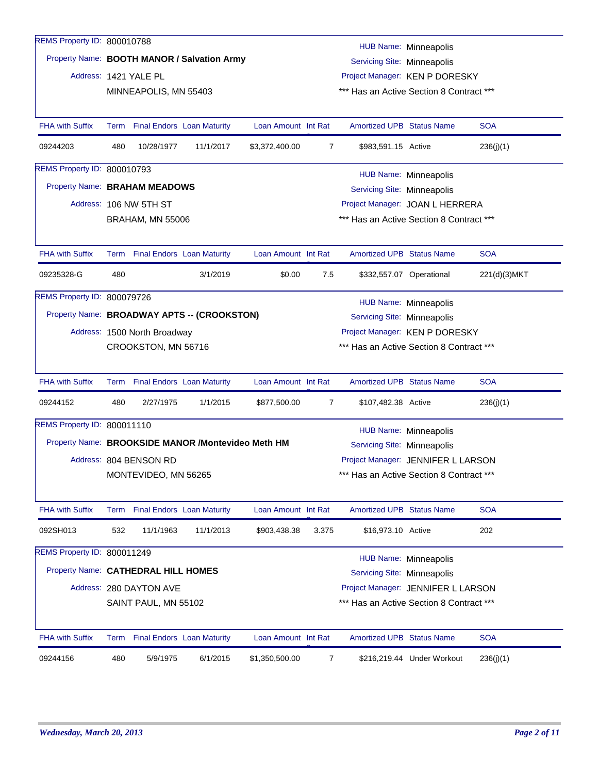| REMS Property ID: 800010788         |      |                                 |                                                    |                     |                |                                                                            |                                    |              |  |  |
|-------------------------------------|------|---------------------------------|----------------------------------------------------|---------------------|----------------|----------------------------------------------------------------------------|------------------------------------|--------------|--|--|
|                                     |      |                                 | Property Name: BOOTH MANOR / Salvation Army        |                     |                |                                                                            | HUB Name: Minneapolis              |              |  |  |
|                                     |      |                                 |                                                    |                     |                | Servicing Site: Minneapolis                                                |                                    |              |  |  |
|                                     |      | Address: 1421 YALE PL           |                                                    |                     |                | Project Manager: KEN P DORESKY<br>*** Has an Active Section 8 Contract *** |                                    |              |  |  |
|                                     |      | MINNEAPOLIS, MN 55403           |                                                    |                     |                |                                                                            |                                    |              |  |  |
| <b>FHA with Suffix</b>              |      | Term Final Endors Loan Maturity |                                                    | Loan Amount Int Rat |                | <b>Amortized UPB Status Name</b>                                           |                                    | <b>SOA</b>   |  |  |
| 09244203                            | 480  | 10/28/1977                      | 11/1/2017                                          | \$3,372,400.00      | $\overline{7}$ | \$983,591.15 Active                                                        |                                    | 236(j)(1)    |  |  |
| REMS Property ID: 800010793         |      |                                 |                                                    |                     |                |                                                                            | <b>HUB Name: Minneapolis</b>       |              |  |  |
| Property Name: BRAHAM MEADOWS       |      |                                 |                                                    |                     |                | Servicing Site: Minneapolis                                                |                                    |              |  |  |
|                                     |      | Address: 106 NW 5TH ST          |                                                    |                     |                |                                                                            | Project Manager: JOAN L HERRERA    |              |  |  |
|                                     |      | <b>BRAHAM, MN 55006</b>         |                                                    |                     |                | *** Has an Active Section 8 Contract ***                                   |                                    |              |  |  |
|                                     |      |                                 |                                                    |                     |                |                                                                            |                                    |              |  |  |
| <b>FHA with Suffix</b>              |      | Term Final Endors Loan Maturity |                                                    | Loan Amount Int Rat |                | <b>Amortized UPB Status Name</b>                                           |                                    | <b>SOA</b>   |  |  |
| 09235328-G                          | 480  |                                 | 3/1/2019                                           | \$0.00              | 7.5            |                                                                            | \$332,557.07 Operational           | 221(d)(3)MKT |  |  |
| REMS Property ID: 800079726         |      |                                 |                                                    |                     |                |                                                                            | HUB Name: Minneapolis              |              |  |  |
|                                     |      |                                 | Property Name: BROADWAY APTS -- (CROOKSTON)        |                     |                | Servicing Site: Minneapolis                                                |                                    |              |  |  |
|                                     |      | Address: 1500 North Broadway    |                                                    |                     |                |                                                                            | Project Manager: KEN P DORESKY     |              |  |  |
|                                     |      | CROOKSTON, MN 56716             |                                                    |                     |                | *** Has an Active Section 8 Contract ***                                   |                                    |              |  |  |
|                                     |      |                                 |                                                    |                     |                |                                                                            |                                    |              |  |  |
| <b>FHA with Suffix</b>              |      | Term Final Endors Loan Maturity |                                                    | Loan Amount Int Rat |                | <b>Amortized UPB Status Name</b>                                           |                                    | <b>SOA</b>   |  |  |
| 09244152                            | 480  | 2/27/1975                       | 1/1/2015                                           | \$877,500.00        | 7              | \$107,482.38 Active                                                        |                                    | 236(j)(1)    |  |  |
| REMS Property ID: 800011110         |      |                                 |                                                    |                     |                |                                                                            | <b>HUB Name: Minneapolis</b>       |              |  |  |
|                                     |      |                                 | Property Name: BROOKSIDE MANOR /Montevideo Meth HM |                     |                | Servicing Site: Minneapolis                                                |                                    |              |  |  |
|                                     |      | Address: 804 BENSON RD          |                                                    |                     |                |                                                                            | Project Manager: JENNIFER L LARSON |              |  |  |
|                                     |      | MONTEVIDEO, MN 56265            |                                                    |                     |                | *** Has an Active Section 8 Contract ***                                   |                                    |              |  |  |
|                                     |      |                                 |                                                    |                     |                |                                                                            |                                    |              |  |  |
| <b>FHA with Suffix</b>              |      | Term Final Endors Loan Maturity |                                                    | Loan Amount Int Rat |                | <b>Amortized UPB Status Name</b>                                           |                                    | <b>SOA</b>   |  |  |
| 092SH013                            | 532  | 11/1/1963                       | 11/1/2013                                          | \$903,438.38        | 3.375          | \$16,973.10 Active                                                         |                                    | 202          |  |  |
| REMS Property ID: 800011249         |      |                                 |                                                    |                     |                |                                                                            | <b>HUB Name: Minneapolis</b>       |              |  |  |
| Property Name: CATHEDRAL HILL HOMES |      |                                 |                                                    |                     |                | Servicing Site: Minneapolis                                                |                                    |              |  |  |
|                                     |      | Address: 280 DAYTON AVE         |                                                    |                     |                |                                                                            | Project Manager: JENNIFER L LARSON |              |  |  |
|                                     |      | SAINT PAUL, MN 55102            |                                                    |                     |                | *** Has an Active Section 8 Contract ***                                   |                                    |              |  |  |
|                                     |      |                                 |                                                    |                     |                |                                                                            |                                    |              |  |  |
| <b>FHA with Suffix</b>              | Term |                                 | <b>Final Endors</b> Loan Maturity                  | Loan Amount Int Rat |                | <b>Amortized UPB Status Name</b>                                           |                                    | <b>SOA</b>   |  |  |
| 09244156                            | 480  | 5/9/1975                        | 6/1/2015                                           | \$1,350,500.00      | 7              |                                                                            | \$216,219.44 Under Workout         | 236(j)(1)    |  |  |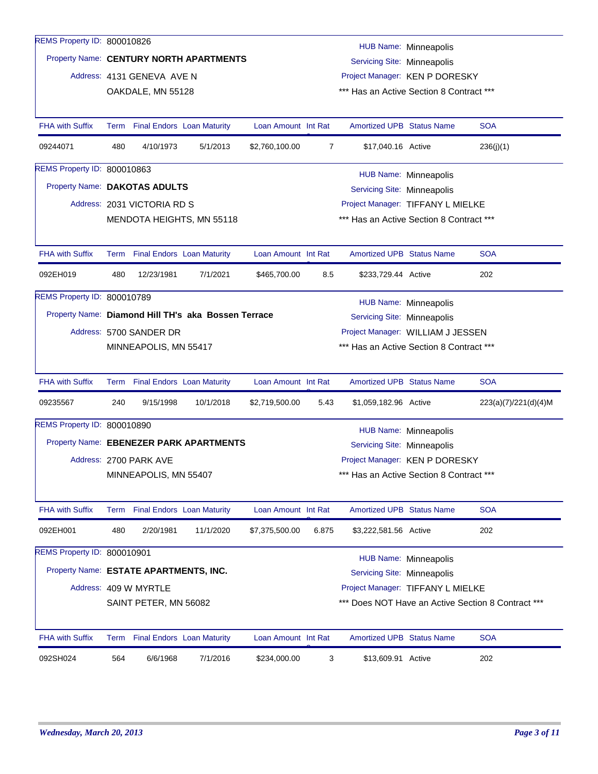| REMS Property ID: 800010826            |     |                                                 |                                                     |                     |       |                                                                            |                              |                                                    |
|----------------------------------------|-----|-------------------------------------------------|-----------------------------------------------------|---------------------|-------|----------------------------------------------------------------------------|------------------------------|----------------------------------------------------|
|                                        |     |                                                 | Property Name: CENTURY NORTH APARTMENTS             |                     |       |                                                                            | <b>HUB Name: Minneapolis</b> |                                                    |
|                                        |     |                                                 |                                                     |                     |       | Servicing Site: Minneapolis                                                |                              |                                                    |
|                                        |     | Address: 4131 GENEVA AVE N<br>OAKDALE, MN 55128 |                                                     |                     |       | Project Manager: KEN P DORESKY<br>*** Has an Active Section 8 Contract *** |                              |                                                    |
|                                        |     |                                                 |                                                     |                     |       |                                                                            |                              |                                                    |
| <b>FHA with Suffix</b>                 |     | Term Final Endors Loan Maturity                 |                                                     | Loan Amount Int Rat |       | <b>Amortized UPB Status Name</b>                                           |                              | <b>SOA</b>                                         |
| 09244071                               | 480 | 4/10/1973                                       | 5/1/2013                                            | \$2,760,100.00      | 7     | \$17,040.16 Active                                                         |                              | 236(j)(1)                                          |
| REMS Property ID: 800010863            |     |                                                 |                                                     |                     |       |                                                                            | <b>HUB Name: Minneapolis</b> |                                                    |
| Property Name: DAKOTAS ADULTS          |     |                                                 |                                                     |                     |       | Servicing Site: Minneapolis                                                |                              |                                                    |
|                                        |     | Address: 2031 VICTORIA RD S                     |                                                     |                     |       | Project Manager: TIFFANY L MIELKE                                          |                              |                                                    |
|                                        |     |                                                 | MENDOTA HEIGHTS, MN 55118                           |                     |       | *** Has an Active Section 8 Contract ***                                   |                              |                                                    |
|                                        |     |                                                 |                                                     |                     |       |                                                                            |                              |                                                    |
| <b>FHA with Suffix</b>                 |     |                                                 | Term Final Endors Loan Maturity                     | Loan Amount Int Rat |       | <b>Amortized UPB Status Name</b>                                           |                              | <b>SOA</b>                                         |
| 092EH019                               | 480 | 12/23/1981                                      | 7/1/2021                                            | \$465,700.00        | 8.5   | \$233,729.44 Active                                                        |                              | 202                                                |
| REMS Property ID: 800010789            |     |                                                 |                                                     |                     |       |                                                                            | <b>HUB Name: Minneapolis</b> |                                                    |
|                                        |     |                                                 | Property Name: Diamond Hill TH's aka Bossen Terrace |                     |       | Servicing Site: Minneapolis                                                |                              |                                                    |
|                                        |     | Address: 5700 SANDER DR                         |                                                     |                     |       | Project Manager: WILLIAM J JESSEN                                          |                              |                                                    |
|                                        |     | MINNEAPOLIS, MN 55417                           |                                                     |                     |       | *** Has an Active Section 8 Contract ***                                   |                              |                                                    |
|                                        |     |                                                 |                                                     |                     |       |                                                                            |                              |                                                    |
| <b>FHA with Suffix</b>                 |     | Term Final Endors Loan Maturity                 |                                                     | Loan Amount Int Rat |       | <b>Amortized UPB Status Name</b>                                           |                              | <b>SOA</b>                                         |
| 09235567                               | 240 | 9/15/1998                                       | 10/1/2018                                           | \$2,719,500.00      | 5.43  | \$1,059,182.96 Active                                                      |                              | 223(a)(7)/221(d)(4)M                               |
| REMS Property ID: 800010890            |     |                                                 |                                                     |                     |       |                                                                            | <b>HUB Name: Minneapolis</b> |                                                    |
|                                        |     |                                                 | Property Name: EBENEZER PARK APARTMENTS             |                     |       | Servicing Site: Minneapolis                                                |                              |                                                    |
|                                        |     | Address: 2700 PARK AVE                          |                                                     |                     |       | Project Manager: KEN P DORESKY                                             |                              |                                                    |
|                                        |     | MINNEAPOLIS, MN 55407                           |                                                     |                     |       | *** Has an Active Section 8 Contract ***                                   |                              |                                                    |
|                                        |     |                                                 |                                                     |                     |       |                                                                            |                              |                                                    |
| <b>FHA with Suffix</b>                 |     |                                                 | Term Final Endors Loan Maturity                     | Loan Amount Int Rat |       | Amortized UPB Status Name                                                  |                              | <b>SOA</b>                                         |
| 092EH001                               | 480 | 2/20/1981                                       | 11/1/2020                                           | \$7,375,500.00      | 6.875 | \$3,222,581.56 Active                                                      |                              | 202                                                |
| REMS Property ID: 800010901            |     |                                                 |                                                     |                     |       |                                                                            | <b>HUB Name: Minneapolis</b> |                                                    |
| Property Name: ESTATE APARTMENTS, INC. |     |                                                 |                                                     |                     |       | Servicing Site: Minneapolis                                                |                              |                                                    |
|                                        |     | Address: 409 W MYRTLE                           |                                                     |                     |       | Project Manager: TIFFANY L MIELKE                                          |                              |                                                    |
|                                        |     | SAINT PETER, MN 56082                           |                                                     |                     |       |                                                                            |                              | *** Does NOT Have an Active Section 8 Contract *** |
|                                        |     |                                                 |                                                     |                     |       |                                                                            |                              |                                                    |
| FHA with Suffix                        |     | Term Final Endors Loan Maturity                 |                                                     | Loan Amount Int Rat |       | Amortized UPB Status Name                                                  |                              | <b>SOA</b>                                         |
| 092SH024                               | 564 | 6/6/1968                                        | 7/1/2016                                            | \$234,000.00        | 3     | \$13,609.91 Active                                                         |                              | 202                                                |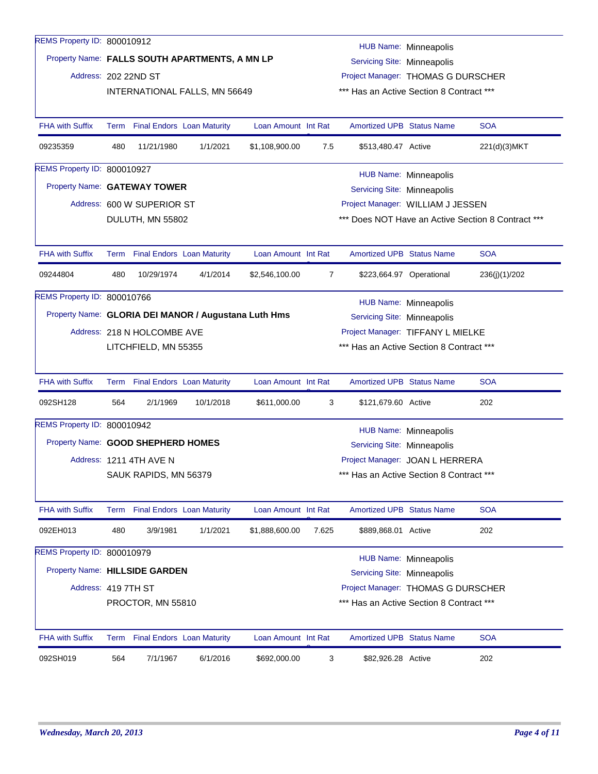| REMS Property ID: 800010912                          |      |                                                               |                               |                     |                                          |                                          |                              |                                                    |  |
|------------------------------------------------------|------|---------------------------------------------------------------|-------------------------------|---------------------|------------------------------------------|------------------------------------------|------------------------------|----------------------------------------------------|--|
|                                                      |      |                                                               |                               |                     |                                          |                                          | HUB Name: Minneapolis        |                                                    |  |
| Property Name: FALLS SOUTH APARTMENTS, A MN LP       |      |                                                               |                               |                     |                                          | Servicing Site: Minneapolis              |                              |                                                    |  |
| Address: 202 22ND ST                                 |      |                                                               |                               |                     |                                          | Project Manager: THOMAS G DURSCHER       |                              |                                                    |  |
|                                                      |      |                                                               | INTERNATIONAL FALLS, MN 56649 |                     | *** Has an Active Section 8 Contract *** |                                          |                              |                                                    |  |
|                                                      |      |                                                               |                               |                     |                                          |                                          |                              |                                                    |  |
| <b>FHA with Suffix</b>                               |      | Term Final Endors Loan Maturity                               |                               | Loan Amount Int Rat |                                          | <b>Amortized UPB Status Name</b>         |                              | <b>SOA</b>                                         |  |
| 09235359                                             | 480  | 11/21/1980                                                    | 1/1/2021                      | \$1,108,900.00      | 7.5                                      | \$513,480.47 Active                      |                              | 221(d)(3)MKT                                       |  |
| REMS Property ID: 800010927                          |      |                                                               |                               |                     |                                          |                                          | <b>HUB Name: Minneapolis</b> |                                                    |  |
| Property Name: GATEWAY TOWER                         |      |                                                               |                               |                     |                                          | Servicing Site: Minneapolis              |                              |                                                    |  |
|                                                      |      | Address: 600 W SUPERIOR ST                                    |                               |                     |                                          | Project Manager: WILLIAM J JESSEN        |                              |                                                    |  |
|                                                      |      | DULUTH, MN 55802                                              |                               |                     |                                          |                                          |                              | *** Does NOT Have an Active Section 8 Contract *** |  |
|                                                      |      |                                                               |                               |                     |                                          |                                          |                              |                                                    |  |
| <b>FHA with Suffix</b>                               |      | Term Final Endors Loan Maturity                               |                               | Loan Amount Int Rat |                                          | <b>Amortized UPB Status Name</b>         |                              | <b>SOA</b>                                         |  |
| 09244804                                             | 480  | 10/29/1974                                                    | 4/1/2014                      | \$2,546,100.00      | $\overline{7}$                           |                                          | \$223,664.97 Operational     | 236(j)(1)/202                                      |  |
| REMS Property ID: 800010766                          |      |                                                               |                               |                     |                                          |                                          | <b>HUB Name: Minneapolis</b> |                                                    |  |
| Property Name: GLORIA DEI MANOR / Augustana Luth Hms |      |                                                               |                               |                     |                                          | Servicing Site: Minneapolis              |                              |                                                    |  |
|                                                      |      | Address: 218 N HOLCOMBE AVE                                   |                               |                     |                                          | Project Manager: TIFFANY L MIELKE        |                              |                                                    |  |
|                                                      |      | LITCHFIELD, MN 55355                                          |                               |                     |                                          | *** Has an Active Section 8 Contract *** |                              |                                                    |  |
|                                                      |      |                                                               |                               |                     |                                          |                                          |                              |                                                    |  |
| <b>FHA with Suffix</b>                               |      | Term Final Endors Loan Maturity                               |                               | Loan Amount Int Rat |                                          | <b>Amortized UPB Status Name</b>         |                              | <b>SOA</b>                                         |  |
| 092SH128                                             | 564  | 2/1/1969                                                      | 10/1/2018                     | \$611,000.00        | 3                                        | \$121,679.60 Active                      |                              | 202                                                |  |
| REMS Property ID: 800010942                          |      |                                                               |                               |                     |                                          |                                          | <b>HUB Name: Minneapolis</b> |                                                    |  |
| Property Name: GOOD SHEPHERD HOMES                   |      |                                                               |                               |                     |                                          | Servicing Site: Minneapolis              |                              |                                                    |  |
|                                                      |      | Address: 1211 4TH AVE N                                       |                               |                     |                                          | Project Manager: JOAN L HERRERA          |                              |                                                    |  |
|                                                      |      | SAUK RAPIDS, MN 56379                                         |                               |                     |                                          | *** Has an Active Section 8 Contract *** |                              |                                                    |  |
|                                                      |      |                                                               |                               |                     |                                          |                                          |                              |                                                    |  |
| <b>FHA with Suffix</b>                               |      | Term Final Endors Loan Maturity                               |                               | Loan Amount Int Rat |                                          | <b>Amortized UPB Status Name</b>         |                              | <b>SOA</b>                                         |  |
| 092EH013                                             | 480  | 3/9/1981                                                      | 1/1/2021                      | \$1,888,600.00      | 7.625                                    | \$889,868.01 Active                      |                              | 202                                                |  |
| REMS Property ID: 800010979                          |      |                                                               |                               |                     |                                          |                                          | <b>HUB Name: Minneapolis</b> |                                                    |  |
| Property Name: HILLSIDE GARDEN                       |      |                                                               |                               |                     |                                          | Servicing Site: Minneapolis              |                              |                                                    |  |
| Address: 419 7TH ST                                  |      |                                                               |                               |                     |                                          | Project Manager: THOMAS G DURSCHER       |                              |                                                    |  |
|                                                      |      |                                                               |                               |                     |                                          |                                          |                              |                                                    |  |
|                                                      |      | *** Has an Active Section 8 Contract ***<br>PROCTOR, MN 55810 |                               |                     |                                          |                                          |                              |                                                    |  |
| <b>FHA with Suffix</b>                               | Term | <b>Final Endors Loan Maturity</b>                             |                               | Loan Amount Int Rat |                                          | <b>Amortized UPB Status Name</b>         |                              | SOA                                                |  |
| 092SH019                                             | 564  | 7/1/1967                                                      | 6/1/2016                      | \$692,000.00        | 3                                        | \$82,926.28 Active                       |                              | 202                                                |  |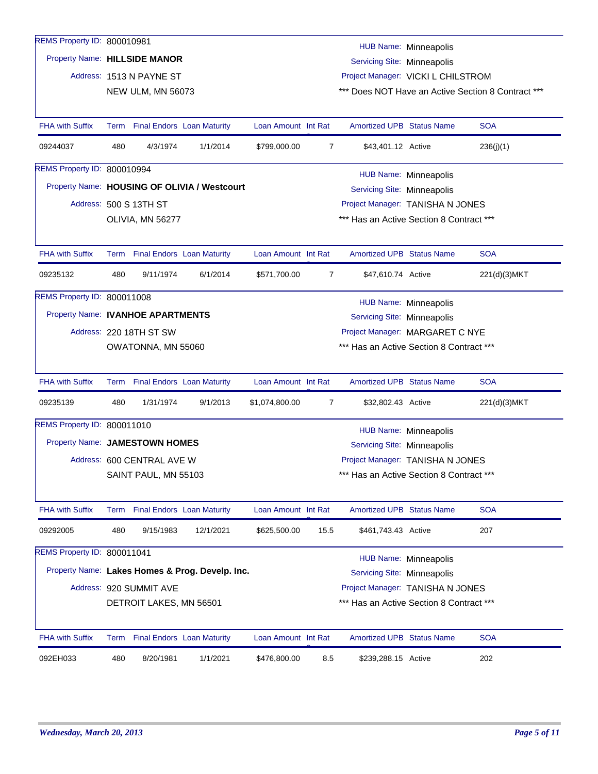| REMS Property ID: 800010981       |     |                                 |                                                 |                     |      |                                          | HUB Name: Minneapolis        |                                                    |
|-----------------------------------|-----|---------------------------------|-------------------------------------------------|---------------------|------|------------------------------------------|------------------------------|----------------------------------------------------|
| Property Name: HILLSIDE MANOR     |     |                                 |                                                 |                     |      | Servicing Site: Minneapolis              |                              |                                                    |
|                                   |     | Address: 1513 N PAYNE ST        |                                                 |                     |      | Project Manager: VICKI L CHILSTROM       |                              |                                                    |
|                                   |     | NEW ULM, MN 56073               |                                                 |                     |      |                                          |                              | *** Does NOT Have an Active Section 8 Contract *** |
|                                   |     |                                 |                                                 |                     |      |                                          |                              |                                                    |
| <b>FHA with Suffix</b>            |     |                                 | Term Final Endors Loan Maturity                 | Loan Amount Int Rat |      | <b>Amortized UPB Status Name</b>         |                              | <b>SOA</b>                                         |
| 09244037                          | 480 | 4/3/1974                        | 1/1/2014                                        | \$799,000.00        | 7    | \$43,401.12 Active                       |                              | 236(j)(1)                                          |
| REMS Property ID: 800010994       |     |                                 |                                                 |                     |      |                                          | HUB Name: Minneapolis        |                                                    |
|                                   |     |                                 | Property Name: HOUSING OF OLIVIA / Westcourt    |                     |      | Servicing Site: Minneapolis              |                              |                                                    |
|                                   |     | Address: 500 S 13TH ST          |                                                 |                     |      | Project Manager: TANISHA N JONES         |                              |                                                    |
|                                   |     | OLIVIA, MN 56277                |                                                 |                     |      | *** Has an Active Section 8 Contract *** |                              |                                                    |
|                                   |     |                                 |                                                 |                     |      |                                          |                              |                                                    |
| <b>FHA with Suffix</b>            |     | Term Final Endors Loan Maturity |                                                 | Loan Amount Int Rat |      | Amortized UPB Status Name                |                              | <b>SOA</b>                                         |
| 09235132                          | 480 | 9/11/1974                       | 6/1/2014                                        | \$571,700.00        | 7    | \$47,610.74 Active                       |                              | 221(d)(3)MKT                                       |
| REMS Property ID: 800011008       |     |                                 |                                                 |                     |      |                                          |                              |                                                    |
| Property Name: IVANHOE APARTMENTS |     |                                 |                                                 |                     |      |                                          | HUB Name: Minneapolis        |                                                    |
|                                   |     |                                 |                                                 |                     |      | Servicing Site: Minneapolis              |                              |                                                    |
|                                   |     | Address: 220 18TH ST SW         |                                                 |                     |      | Project Manager: MARGARET C NYE          |                              |                                                    |
|                                   |     | OWATONNA, MN 55060              |                                                 |                     |      | *** Has an Active Section 8 Contract *** |                              |                                                    |
| FHA with Suffix                   |     |                                 | Term Final Endors Loan Maturity                 | Loan Amount Int Rat |      | Amortized UPB Status Name                |                              | <b>SOA</b>                                         |
| 09235139                          | 480 | 1/31/1974                       | 9/1/2013                                        | \$1,074,800.00      | 7    | \$32,802.43 Active                       |                              | 221(d)(3)MKT                                       |
| REMS Property ID: 800011010       |     |                                 |                                                 |                     |      |                                          | <b>HUB Name: Minneapolis</b> |                                                    |
| Property Name: JAMESTOWN HOMES    |     |                                 |                                                 |                     |      | Servicing Site: Minneapolis              |                              |                                                    |
|                                   |     | Address: 600 CENTRAL AVE W      |                                                 |                     |      | Project Manager: TANISHA N JONES         |                              |                                                    |
|                                   |     | SAINT PAUL, MN 55103            |                                                 |                     |      | *** Has an Active Section 8 Contract *** |                              |                                                    |
|                                   |     |                                 |                                                 |                     |      |                                          |                              |                                                    |
| <b>FHA with Suffix</b>            |     |                                 | Term Final Endors Loan Maturity                 | Loan Amount Int Rat |      | <b>Amortized UPB Status Name</b>         |                              | <b>SOA</b>                                         |
| 09292005                          | 480 | 9/15/1983                       | 12/1/2021                                       | \$625,500.00        | 15.5 | \$461,743.43 Active                      |                              | 207                                                |
| REMS Property ID: 800011041       |     |                                 |                                                 |                     |      |                                          | <b>HUB Name: Minneapolis</b> |                                                    |
|                                   |     |                                 | Property Name: Lakes Homes & Prog. Develp. Inc. |                     |      | Servicing Site: Minneapolis              |                              |                                                    |
|                                   |     | Address: 920 SUMMIT AVE         |                                                 |                     |      | Project Manager: TANISHA N JONES         |                              |                                                    |
|                                   |     | DETROIT LAKES, MN 56501         |                                                 |                     |      | *** Has an Active Section 8 Contract *** |                              |                                                    |
|                                   |     |                                 |                                                 |                     |      |                                          |                              |                                                    |
| <b>FHA with Suffix</b>            |     | Term Final Endors Loan Maturity |                                                 | Loan Amount Int Rat |      | Amortized UPB Status Name                |                              | <b>SOA</b>                                         |
| 092EH033                          | 480 | 8/20/1981                       | 1/1/2021                                        | \$476,800.00        | 8.5  | \$239,288.15 Active                      |                              | 202                                                |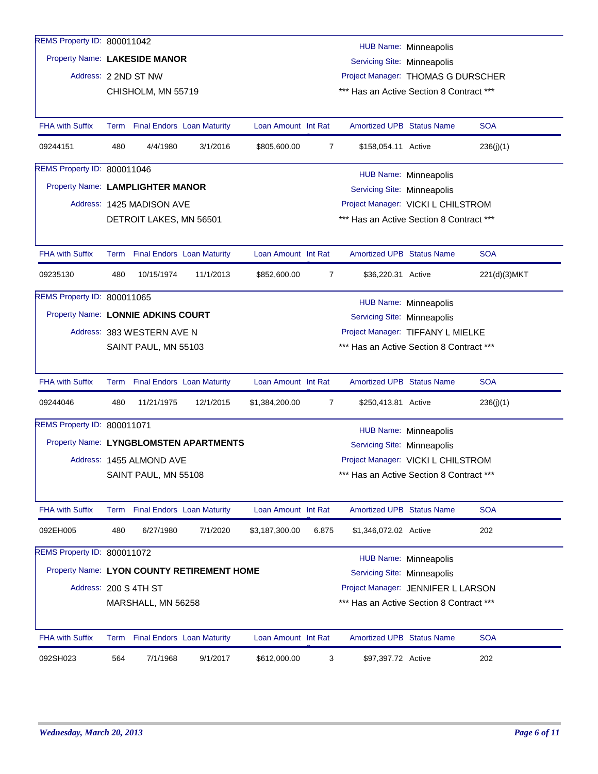| REMS Property ID: 800011042        |     |                                 |                                            |                     |                |                                          | <b>HUB Name: Minneapolis</b> |              |
|------------------------------------|-----|---------------------------------|--------------------------------------------|---------------------|----------------|------------------------------------------|------------------------------|--------------|
| Property Name: LAKESIDE MANOR      |     |                                 |                                            |                     |                | Servicing Site: Minneapolis              |                              |              |
|                                    |     | Address: 2 2ND ST NW            |                                            |                     |                | Project Manager: THOMAS G DURSCHER       |                              |              |
|                                    |     | CHISHOLM, MN 55719              |                                            |                     |                | *** Has an Active Section 8 Contract *** |                              |              |
|                                    |     |                                 |                                            |                     |                |                                          |                              |              |
| <b>FHA with Suffix</b>             |     | Term Final Endors Loan Maturity |                                            | Loan Amount Int Rat |                | <b>Amortized UPB Status Name</b>         |                              | <b>SOA</b>   |
| 09244151                           | 480 | 4/4/1980                        | 3/1/2016                                   | \$805,600.00        | $\overline{7}$ | \$158,054.11 Active                      |                              | 236(j)(1)    |
| REMS Property ID: 800011046        |     |                                 |                                            |                     |                |                                          |                              |              |
| Property Name: LAMPLIGHTER MANOR   |     |                                 |                                            |                     |                | Servicing Site: Minneapolis              | HUB Name: Minneapolis        |              |
|                                    |     | Address: 1425 MADISON AVE       |                                            |                     |                | Project Manager: VICKI L CHILSTROM       |                              |              |
|                                    |     | DETROIT LAKES, MN 56501         |                                            |                     |                | *** Has an Active Section 8 Contract *** |                              |              |
|                                    |     |                                 |                                            |                     |                |                                          |                              |              |
| <b>FHA with Suffix</b>             |     | Term Final Endors Loan Maturity |                                            | Loan Amount Int Rat |                | <b>Amortized UPB Status Name</b>         |                              | <b>SOA</b>   |
| 09235130                           | 480 | 10/15/1974                      | 11/1/2013                                  | \$852,600.00        | $\overline{7}$ | \$36,220.31 Active                       |                              | 221(d)(3)MKT |
| REMS Property ID: 800011065        |     |                                 |                                            |                     |                |                                          | HUB Name: Minneapolis        |              |
| Property Name: LONNIE ADKINS COURT |     |                                 |                                            |                     |                | Servicing Site: Minneapolis              |                              |              |
|                                    |     | Address: 383 WESTERN AVE N      |                                            |                     |                | Project Manager: TIFFANY L MIELKE        |                              |              |
|                                    |     | SAINT PAUL, MN 55103            |                                            |                     |                | *** Has an Active Section 8 Contract *** |                              |              |
|                                    |     |                                 |                                            |                     |                |                                          |                              |              |
| <b>FHA with Suffix</b>             |     | Term Final Endors Loan Maturity |                                            | Loan Amount Int Rat |                | <b>Amortized UPB Status Name</b>         |                              | <b>SOA</b>   |
| 09244046                           | 480 | 11/21/1975                      | 12/1/2015                                  | \$1,384,200.00      | $\overline{7}$ | \$250,413.81 Active                      |                              | 236(j)(1)    |
| REMS Property ID: 800011071        |     |                                 |                                            |                     |                |                                          | <b>HUB Name: Minneapolis</b> |              |
|                                    |     |                                 | Property Name: LYNGBLOMSTEN APARTMENTS     |                     |                | Servicing Site: Minneapolis              |                              |              |
|                                    |     | Address: 1455 ALMOND AVE        |                                            |                     |                | Project Manager: VICKI L CHILSTROM       |                              |              |
|                                    |     | SAINT PAUL, MN 55108            |                                            |                     |                | *** Has an Active Section 8 Contract *** |                              |              |
|                                    |     |                                 |                                            |                     |                |                                          |                              |              |
| <b>FHA with Suffix</b>             |     | Term Final Endors Loan Maturity |                                            | Loan Amount Int Rat |                | Amortized UPB Status Name                |                              | <b>SOA</b>   |
| 092EH005                           | 480 | 6/27/1980                       | 7/1/2020                                   | \$3,187,300.00      | 6.875          | \$1,346,072.02 Active                    |                              | 202          |
| REMS Property ID: 800011072        |     |                                 |                                            |                     |                |                                          | <b>HUB Name: Minneapolis</b> |              |
|                                    |     |                                 | Property Name: LYON COUNTY RETIREMENT HOME |                     |                | Servicing Site: Minneapolis              |                              |              |
|                                    |     | Address: 200 S 4TH ST           |                                            |                     |                | Project Manager: JENNIFER L LARSON       |                              |              |
|                                    |     | MARSHALL, MN 56258              |                                            |                     |                | *** Has an Active Section 8 Contract *** |                              |              |
|                                    |     |                                 |                                            |                     |                |                                          |                              |              |
| <b>FHA with Suffix</b>             |     | Term Final Endors Loan Maturity |                                            | Loan Amount Int Rat |                | <b>Amortized UPB Status Name</b>         |                              | <b>SOA</b>   |
| 092SH023                           | 564 | 7/1/1968                        | 9/1/2017                                   | \$612,000.00        | 3              | \$97,397.72 Active                       |                              | 202          |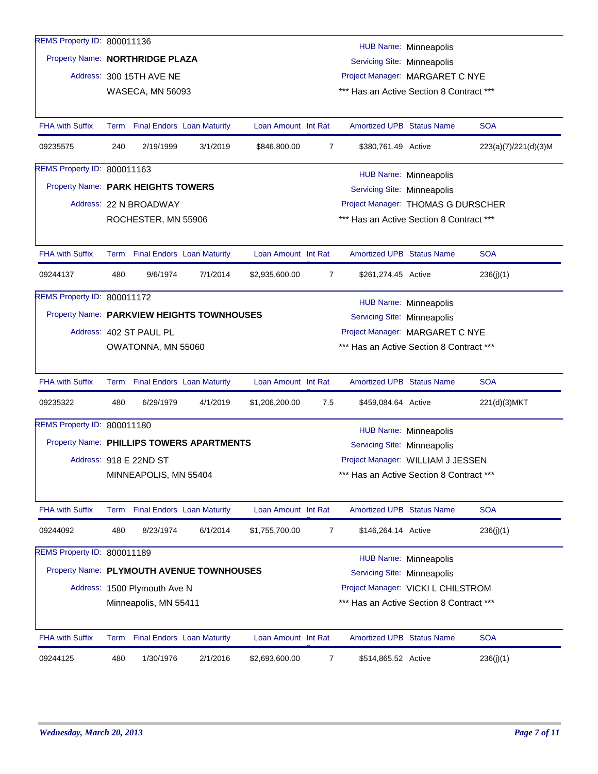| REMS Property ID: 800011136                |      |                                 |                                   |                     |                |                                                                             |                              |                      |  |  |
|--------------------------------------------|------|---------------------------------|-----------------------------------|---------------------|----------------|-----------------------------------------------------------------------------|------------------------------|----------------------|--|--|
| Property Name: NORTHRIDGE PLAZA            |      |                                 |                                   |                     |                | Servicing Site: Minneapolis                                                 | <b>HUB Name: Minneapolis</b> |                      |  |  |
|                                            |      | Address: 300 15TH AVE NE        |                                   |                     |                |                                                                             |                              |                      |  |  |
|                                            |      | <b>WASECA, MN 56093</b>         |                                   |                     |                | Project Manager: MARGARET C NYE<br>*** Has an Active Section 8 Contract *** |                              |                      |  |  |
|                                            |      |                                 |                                   |                     |                |                                                                             |                              |                      |  |  |
| <b>FHA with Suffix</b>                     |      | Term Final Endors Loan Maturity |                                   | Loan Amount Int Rat |                | <b>Amortized UPB Status Name</b>                                            |                              | <b>SOA</b>           |  |  |
| 09235575                                   | 240  | 2/19/1999                       | 3/1/2019                          | \$846,800.00        | $\overline{7}$ | \$380,761.49 Active                                                         |                              | 223(a)(7)/221(d)(3)M |  |  |
| REMS Property ID: 800011163                |      |                                 |                                   |                     |                |                                                                             | <b>HUB Name: Minneapolis</b> |                      |  |  |
| Property Name: PARK HEIGHTS TOWERS         |      |                                 |                                   |                     |                | Servicing Site: Minneapolis                                                 |                              |                      |  |  |
|                                            |      | Address: 22 N BROADWAY          |                                   |                     |                | Project Manager: THOMAS G DURSCHER                                          |                              |                      |  |  |
|                                            |      | ROCHESTER, MN 55906             |                                   |                     |                | *** Has an Active Section 8 Contract ***                                    |                              |                      |  |  |
|                                            |      |                                 |                                   |                     |                |                                                                             |                              |                      |  |  |
| <b>FHA with Suffix</b>                     |      | Term Final Endors Loan Maturity |                                   | Loan Amount Int Rat |                | <b>Amortized UPB Status Name</b>                                            |                              | <b>SOA</b>           |  |  |
| 09244137                                   | 480  | 9/6/1974                        | 7/1/2014                          | \$2,935,600.00      | $\overline{7}$ | \$261,274.45 Active                                                         |                              | 236(j)(1)            |  |  |
| REMS Property ID: 800011172                |      |                                 |                                   |                     |                |                                                                             | <b>HUB Name: Minneapolis</b> |                      |  |  |
| Property Name: PARKVIEW HEIGHTS TOWNHOUSES |      |                                 |                                   |                     |                | Servicing Site: Minneapolis                                                 |                              |                      |  |  |
|                                            |      | Address: 402 ST PAUL PL         |                                   |                     |                | Project Manager: MARGARET C NYE                                             |                              |                      |  |  |
|                                            |      | OWATONNA, MN 55060              |                                   |                     |                | *** Has an Active Section 8 Contract ***                                    |                              |                      |  |  |
|                                            |      |                                 |                                   |                     |                |                                                                             |                              |                      |  |  |
| <b>FHA with Suffix</b>                     |      | Term Final Endors Loan Maturity |                                   | Loan Amount Int Rat |                | <b>Amortized UPB Status Name</b>                                            |                              | <b>SOA</b>           |  |  |
| 09235322                                   | 480  | 6/29/1979                       | 4/1/2019                          | \$1,206,200.00      | 7.5            | \$459,084.64 Active                                                         |                              | 221(d)(3)MKT         |  |  |
| REMS Property ID: 800011180                |      |                                 |                                   |                     |                |                                                                             | <b>HUB Name: Minneapolis</b> |                      |  |  |
| Property Name: PHILLIPS TOWERS APARTMENTS  |      |                                 |                                   |                     |                | Servicing Site: Minneapolis                                                 |                              |                      |  |  |
|                                            |      | Address: 918 E 22ND ST          |                                   |                     |                | Project Manager: WILLIAM J JESSEN                                           |                              |                      |  |  |
|                                            |      | MINNEAPOLIS, MN 55404           |                                   |                     |                | *** Has an Active Section 8 Contract ***                                    |                              |                      |  |  |
| <b>FHA with Suffix</b>                     |      | Term Final Endors Loan Maturity |                                   | Loan Amount Int Rat |                | <b>Amortized UPB Status Name</b>                                            |                              | <b>SOA</b>           |  |  |
|                                            |      |                                 |                                   |                     |                |                                                                             |                              |                      |  |  |
| 09244092                                   | 480  | 8/23/1974                       | 6/1/2014                          | \$1,755,700.00      | $\overline{7}$ | \$146,264.14 Active                                                         |                              | 236(j)(1)            |  |  |
| REMS Property ID: 800011189                |      |                                 |                                   |                     |                |                                                                             | <b>HUB Name: Minneapolis</b> |                      |  |  |
| Property Name: PLYMOUTH AVENUE TOWNHOUSES  |      |                                 |                                   |                     |                | Servicing Site: Minneapolis                                                 |                              |                      |  |  |
|                                            |      | Address: 1500 Plymouth Ave N    |                                   |                     |                | Project Manager: VICKI L CHILSTROM                                          |                              |                      |  |  |
|                                            |      | Minneapolis, MN 55411           |                                   |                     |                | *** Has an Active Section 8 Contract ***                                    |                              |                      |  |  |
| <b>FHA with Suffix</b>                     | Term |                                 | <b>Final Endors Loan Maturity</b> | Loan Amount Int Rat |                | <b>Amortized UPB Status Name</b>                                            |                              | <b>SOA</b>           |  |  |
| 09244125                                   | 480  | 1/30/1976                       | 2/1/2016                          | \$2,693,600.00      | 7              | \$514,865.52 Active                                                         |                              | 236(j)(1)            |  |  |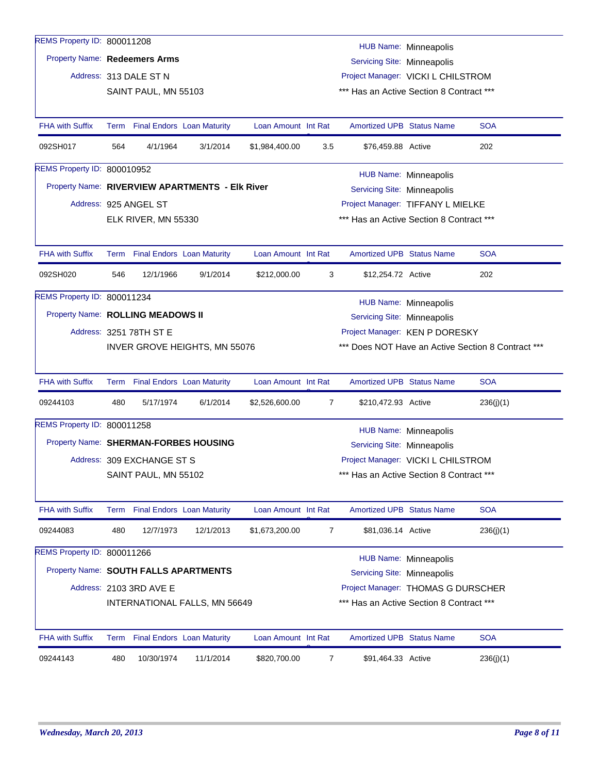| REMS Property ID: 800011208<br><b>Property Name: Redeemers Arms</b> |      |                            |                                                 |                     |                | Servicing Site: Minneapolis              | <b>HUB Name: Minneapolis</b> |                                                    |
|---------------------------------------------------------------------|------|----------------------------|-------------------------------------------------|---------------------|----------------|------------------------------------------|------------------------------|----------------------------------------------------|
|                                                                     |      | Address: 313 DALE ST N     |                                                 |                     |                | Project Manager: VICKI L CHILSTROM       |                              |                                                    |
|                                                                     |      | SAINT PAUL, MN 55103       |                                                 |                     |                | *** Has an Active Section 8 Contract *** |                              |                                                    |
|                                                                     |      |                            |                                                 |                     |                |                                          |                              |                                                    |
| <b>FHA with Suffix</b>                                              |      |                            | Term Final Endors Loan Maturity                 | Loan Amount Int Rat |                | <b>Amortized UPB Status Name</b>         |                              | <b>SOA</b>                                         |
| 092SH017                                                            | 564  | 4/1/1964                   | 3/1/2014                                        | \$1,984,400.00      | 3.5            | \$76,459.88 Active                       |                              | 202                                                |
| REMS Property ID: 800010952                                         |      |                            |                                                 |                     |                |                                          | <b>HUB Name: Minneapolis</b> |                                                    |
|                                                                     |      |                            | Property Name: RIVERVIEW APARTMENTS - Elk River |                     |                | Servicing Site: Minneapolis              |                              |                                                    |
|                                                                     |      | Address: 925 ANGEL ST      |                                                 |                     |                | Project Manager: TIFFANY L MIELKE        |                              |                                                    |
|                                                                     |      | ELK RIVER, MN 55330        |                                                 |                     |                | *** Has an Active Section 8 Contract *** |                              |                                                    |
|                                                                     |      |                            |                                                 |                     |                |                                          |                              |                                                    |
| <b>FHA with Suffix</b>                                              |      |                            | Term Final Endors Loan Maturity                 | Loan Amount Int Rat |                | Amortized UPB Status Name                |                              | <b>SOA</b>                                         |
| 092SH020                                                            | 546  | 12/1/1966                  | 9/1/2014                                        | \$212,000.00        | 3              | \$12,254.72 Active                       |                              | 202                                                |
| REMS Property ID: 800011234                                         |      |                            |                                                 |                     |                |                                          | HUB Name: Minneapolis        |                                                    |
| Property Name: ROLLING MEADOWS II                                   |      |                            |                                                 |                     |                | Servicing Site: Minneapolis              |                              |                                                    |
|                                                                     |      | Address: 3251 78TH ST E    |                                                 |                     |                | Project Manager: KEN P DORESKY           |                              |                                                    |
|                                                                     |      |                            | <b>INVER GROVE HEIGHTS, MN 55076</b>            |                     |                |                                          |                              | *** Does NOT Have an Active Section 8 Contract *** |
|                                                                     |      |                            |                                                 |                     |                |                                          |                              |                                                    |
|                                                                     |      |                            |                                                 |                     |                |                                          |                              |                                                    |
| <b>FHA with Suffix</b>                                              |      |                            | Term Final Endors Loan Maturity                 | Loan Amount Int Rat |                | <b>Amortized UPB Status Name</b>         |                              | <b>SOA</b>                                         |
| 09244103                                                            | 480  | 5/17/1974                  | 6/1/2014                                        | \$2,526,600.00      | $\overline{7}$ | \$210,472.93 Active                      |                              | 236(j)(1)                                          |
| REMS Property ID: 800011258                                         |      |                            |                                                 |                     |                |                                          |                              |                                                    |
| Property Name: SHERMAN-FORBES HOUSING                               |      |                            |                                                 |                     |                | Servicing Site: Minneapolis              | <b>HUB Name: Minneapolis</b> |                                                    |
|                                                                     |      | Address: 309 EXCHANGE ST S |                                                 |                     |                | Project Manager: VICKI L CHILSTROM       |                              |                                                    |
|                                                                     |      | SAINT PAUL, MN 55102       |                                                 |                     |                | *** Has an Active Section 8 Contract *** |                              |                                                    |
|                                                                     |      |                            |                                                 |                     |                |                                          |                              |                                                    |
| FHA with Suffix                                                     | Term |                            | <b>Final Endors Loan Maturity</b>               | Loan Amount Int Rat |                | Amortized UPB Status Name                |                              | <b>SOA</b>                                         |
| 09244083                                                            | 480  | 12/7/1973                  | 12/1/2013                                       | \$1,673,200.00      | $\overline{7}$ | \$81,036.14 Active                       |                              | 236(j)(1)                                          |
| REMS Property ID: 800011266                                         |      |                            |                                                 |                     |                |                                          |                              |                                                    |
|                                                                     |      |                            |                                                 |                     |                |                                          | <b>HUB Name: Minneapolis</b> |                                                    |
| Property Name: SOUTH FALLS APARTMENTS                               |      |                            |                                                 |                     |                | Servicing Site: Minneapolis              |                              |                                                    |
|                                                                     |      | Address: 2103 3RD AVE E    |                                                 |                     |                | Project Manager: THOMAS G DURSCHER       |                              |                                                    |
|                                                                     |      |                            | INTERNATIONAL FALLS, MN 56649                   |                     |                | *** Has an Active Section 8 Contract *** |                              |                                                    |
| FHA with Suffix                                                     |      |                            | Term Final Endors Loan Maturity                 | Loan Amount Int Rat |                | Amortized UPB Status Name                |                              | <b>SOA</b>                                         |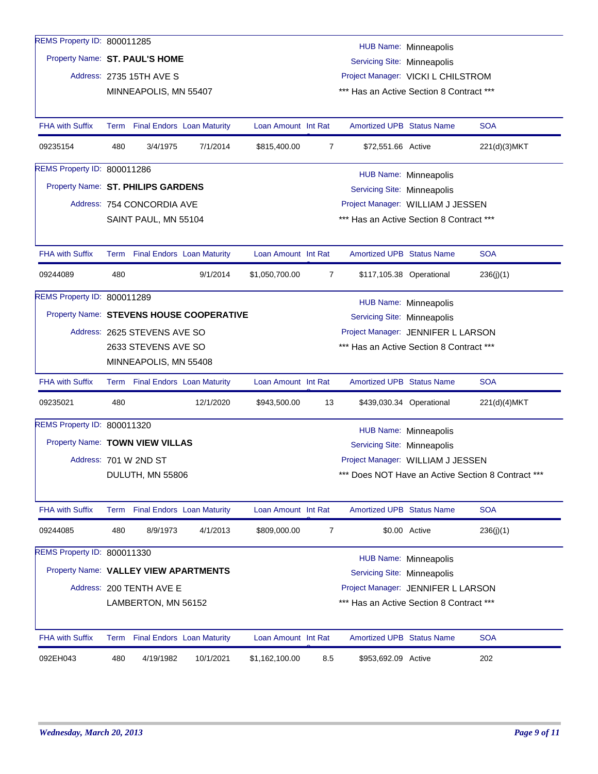| REMS Property ID: 800011285           |      |                                                                   |                                          |                     |                |                                          | <b>HUB Name: Minneapolis</b> |                                                    |  |
|---------------------------------------|------|-------------------------------------------------------------------|------------------------------------------|---------------------|----------------|------------------------------------------|------------------------------|----------------------------------------------------|--|
| Property Name: ST. PAUL'S HOME        |      |                                                                   |                                          |                     |                | Servicing Site: Minneapolis              |                              |                                                    |  |
|                                       |      | Address: 2735 15TH AVE S                                          |                                          |                     |                | Project Manager: VICKI L CHILSTROM       |                              |                                                    |  |
|                                       |      | *** Has an Active Section 8 Contract ***<br>MINNEAPOLIS, MN 55407 |                                          |                     |                |                                          |                              |                                                    |  |
|                                       |      |                                                                   |                                          |                     |                |                                          |                              |                                                    |  |
| <b>FHA with Suffix</b>                |      | Term Final Endors Loan Maturity                                   |                                          | Loan Amount Int Rat |                | <b>Amortized UPB Status Name</b>         |                              | <b>SOA</b>                                         |  |
| 09235154                              | 480  | 3/4/1975                                                          | 7/1/2014                                 | \$815,400.00        | 7              | \$72,551.66 Active                       |                              | 221(d)(3)MKT                                       |  |
| REMS Property ID: 800011286           |      |                                                                   |                                          |                     |                |                                          | <b>HUB Name: Minneapolis</b> |                                                    |  |
| Property Name: ST. PHILIPS GARDENS    |      |                                                                   |                                          |                     |                | Servicing Site: Minneapolis              |                              |                                                    |  |
|                                       |      | Address: 754 CONCORDIA AVE                                        |                                          |                     |                | Project Manager: WILLIAM J JESSEN        |                              |                                                    |  |
|                                       |      | SAINT PAUL, MN 55104                                              |                                          |                     |                | *** Has an Active Section 8 Contract *** |                              |                                                    |  |
|                                       |      |                                                                   |                                          |                     |                |                                          |                              |                                                    |  |
| <b>FHA with Suffix</b>                |      | Term Final Endors Loan Maturity                                   |                                          | Loan Amount Int Rat |                | <b>Amortized UPB Status Name</b>         |                              | <b>SOA</b>                                         |  |
| 09244089                              | 480  |                                                                   | 9/1/2014                                 | \$1,050,700.00      | $\overline{7}$ |                                          | \$117,105.38 Operational     | 236(j)(1)                                          |  |
| REMS Property ID: 800011289           |      |                                                                   |                                          |                     |                |                                          | HUB Name: Minneapolis        |                                                    |  |
|                                       |      |                                                                   | Property Name: STEVENS HOUSE COOPERATIVE |                     |                | Servicing Site: Minneapolis              |                              |                                                    |  |
|                                       |      | Address: 2625 STEVENS AVE SO                                      |                                          |                     |                | Project Manager: JENNIFER L LARSON       |                              |                                                    |  |
|                                       |      | 2633 STEVENS AVE SO                                               |                                          |                     |                | *** Has an Active Section 8 Contract *** |                              |                                                    |  |
|                                       |      | MINNEAPOLIS, MN 55408                                             |                                          |                     |                |                                          |                              |                                                    |  |
|                                       |      |                                                                   |                                          |                     |                |                                          |                              |                                                    |  |
| <b>FHA with Suffix</b>                |      | Term Final Endors Loan Maturity                                   |                                          | Loan Amount Int Rat |                | <b>Amortized UPB Status Name</b>         |                              | <b>SOA</b>                                         |  |
| 09235021                              | 480  |                                                                   | 12/1/2020                                | \$943,500.00        | 13             |                                          | \$439,030.34 Operational     | 221(d)(4)MKT                                       |  |
| REMS Property ID: 800011320           |      |                                                                   |                                          |                     |                |                                          | <b>HUB Name: Minneapolis</b> |                                                    |  |
| Property Name: TOWN VIEW VILLAS       |      |                                                                   |                                          |                     |                | Servicing Site: Minneapolis              |                              |                                                    |  |
|                                       |      | Address: 701 W 2ND ST                                             |                                          |                     |                | Project Manager: WILLIAM J JESSEN        |                              |                                                    |  |
|                                       |      | DULUTH, MN 55806                                                  |                                          |                     |                |                                          |                              | *** Does NOT Have an Active Section 8 Contract *** |  |
|                                       |      |                                                                   |                                          |                     |                |                                          |                              |                                                    |  |
| <b>FHA with Suffix</b>                | Term |                                                                   | <b>Final Endors Loan Maturity</b>        | Loan Amount Int Rat |                | Amortized UPB Status Name                |                              | <b>SOA</b>                                         |  |
| 09244085                              | 480  | 8/9/1973                                                          | 4/1/2013                                 | \$809,000.00        | 7              |                                          | \$0.00 Active                | 236(j)(1)                                          |  |
| REMS Property ID: 800011330           |      |                                                                   |                                          |                     |                |                                          | HUB Name: Minneapolis        |                                                    |  |
| Property Name: VALLEY VIEW APARTMENTS |      |                                                                   |                                          |                     |                | Servicing Site: Minneapolis              |                              |                                                    |  |
|                                       |      | Address: 200 TENTH AVE E                                          |                                          |                     |                | Project Manager: JENNIFER L LARSON       |                              |                                                    |  |
|                                       |      |                                                                   |                                          |                     |                | *** Has an Active Section 8 Contract *** |                              |                                                    |  |
|                                       |      | LAMBERTON, MN 56152                                               |                                          |                     |                |                                          |                              |                                                    |  |
| <b>FHA with Suffix</b>                |      | Term Final Endors Loan Maturity                                   |                                          | Loan Amount Int Rat |                | <b>Amortized UPB Status Name</b>         |                              | <b>SOA</b>                                         |  |
| 092EH043                              | 480  | 4/19/1982                                                         | 10/1/2021                                | \$1,162,100.00      | 8.5            | \$953,692.09 Active                      |                              | 202                                                |  |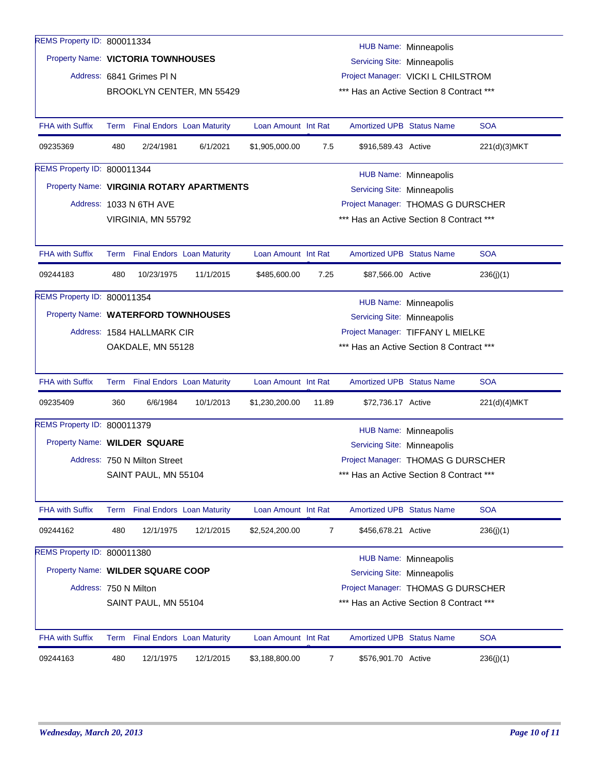| REMS Property ID: 800011334         |      |                              |                                           |                     |                |                                          |                              |              |
|-------------------------------------|------|------------------------------|-------------------------------------------|---------------------|----------------|------------------------------------------|------------------------------|--------------|
| Property Name: VICTORIA TOWNHOUSES  |      |                              |                                           |                     |                |                                          | HUB Name: Minneapolis        |              |
|                                     |      |                              |                                           |                     |                | Servicing Site: Minneapolis              |                              |              |
|                                     |      | Address: 6841 Grimes PI N    |                                           |                     |                | Project Manager: VICKI L CHILSTROM       |                              |              |
|                                     |      |                              | BROOKLYN CENTER, MN 55429                 |                     |                | *** Has an Active Section 8 Contract *** |                              |              |
| <b>FHA with Suffix</b>              |      |                              | Term Final Endors Loan Maturity           | Loan Amount Int Rat |                | <b>Amortized UPB Status Name</b>         |                              | <b>SOA</b>   |
| 09235369                            | 480  | 2/24/1981                    | 6/1/2021                                  | \$1,905,000.00      | 7.5            | \$916,589.43 Active                      |                              | 221(d)(3)MKT |
| REMS Property ID: 800011344         |      |                              |                                           |                     |                |                                          | <b>HUB Name: Minneapolis</b> |              |
|                                     |      |                              | Property Name: VIRGINIA ROTARY APARTMENTS |                     |                | Servicing Site: Minneapolis              |                              |              |
|                                     |      | Address: 1033 N 6TH AVE      |                                           |                     |                | Project Manager: THOMAS G DURSCHER       |                              |              |
|                                     |      | VIRGINIA, MN 55792           |                                           |                     |                | *** Has an Active Section 8 Contract *** |                              |              |
|                                     |      |                              |                                           |                     |                |                                          |                              |              |
| <b>FHA with Suffix</b>              |      |                              | Term Final Endors Loan Maturity           | Loan Amount Int Rat |                | <b>Amortized UPB Status Name</b>         |                              | <b>SOA</b>   |
| 09244183                            | 480  | 10/23/1975                   | 11/1/2015                                 | \$485,600.00        | 7.25           | \$87,566.00 Active                       |                              | 236(j)(1)    |
| REMS Property ID: 800011354         |      |                              |                                           |                     |                |                                          | HUB Name: Minneapolis        |              |
| Property Name: WATERFORD TOWNHOUSES |      |                              |                                           |                     |                | Servicing Site: Minneapolis              |                              |              |
|                                     |      | Address: 1584 HALLMARK CIR   |                                           |                     |                | Project Manager: TIFFANY L MIELKE        |                              |              |
|                                     |      | OAKDALE, MN 55128            |                                           |                     |                | *** Has an Active Section 8 Contract *** |                              |              |
|                                     |      |                              |                                           |                     |                |                                          |                              |              |
| <b>FHA with Suffix</b>              |      |                              | Term Final Endors Loan Maturity           | Loan Amount Int Rat |                | <b>Amortized UPB Status Name</b>         |                              | <b>SOA</b>   |
| 09235409                            | 360  | 6/6/1984                     | 10/1/2013                                 | \$1,230,200.00      | 11.89          | \$72,736.17 Active                       |                              | 221(d)(4)MKT |
| REMS Property ID: 800011379         |      |                              |                                           |                     |                |                                          | <b>HUB Name: Minneapolis</b> |              |
| Property Name: WILDER SQUARE        |      |                              |                                           |                     |                | Servicing Site: Minneapolis              |                              |              |
|                                     |      | Address: 750 N Milton Street |                                           |                     |                | Project Manager: THOMAS G DURSCHER       |                              |              |
|                                     |      | SAINT PAUL, MN 55104         |                                           |                     |                | *** Has an Active Section 8 Contract *** |                              |              |
| <b>FHA with Suffix</b>              | Term |                              | <b>Final Endors Loan Maturity</b>         | Loan Amount Int Rat |                | <b>Amortized UPB Status Name</b>         |                              | <b>SOA</b>   |
| 09244162                            | 480  | 12/1/1975                    | 12/1/2015                                 | \$2,524,200.00      | $\overline{7}$ | \$456,678.21 Active                      |                              | 236(j)(1)    |
| REMS Property ID: 800011380         |      |                              |                                           |                     |                |                                          | <b>HUB Name: Minneapolis</b> |              |
| Property Name: WILDER SQUARE COOP   |      |                              |                                           |                     |                | Servicing Site: Minneapolis              |                              |              |
| Address: 750 N Milton               |      |                              |                                           |                     |                | Project Manager: THOMAS G DURSCHER       |                              |              |
|                                     |      | SAINT PAUL, MN 55104         |                                           |                     |                | *** Has an Active Section 8 Contract *** |                              |              |
|                                     |      |                              |                                           |                     |                |                                          |                              |              |
| <b>FHA with Suffix</b>              |      |                              | Term Final Endors Loan Maturity           | Loan Amount Int Rat |                | <b>Amortized UPB Status Name</b>         |                              | <b>SOA</b>   |
| 09244163                            | 480  | 12/1/1975                    | 12/1/2015                                 | \$3,188,800.00      | 7              | \$576,901.70 Active                      |                              | 236(j)(1)    |